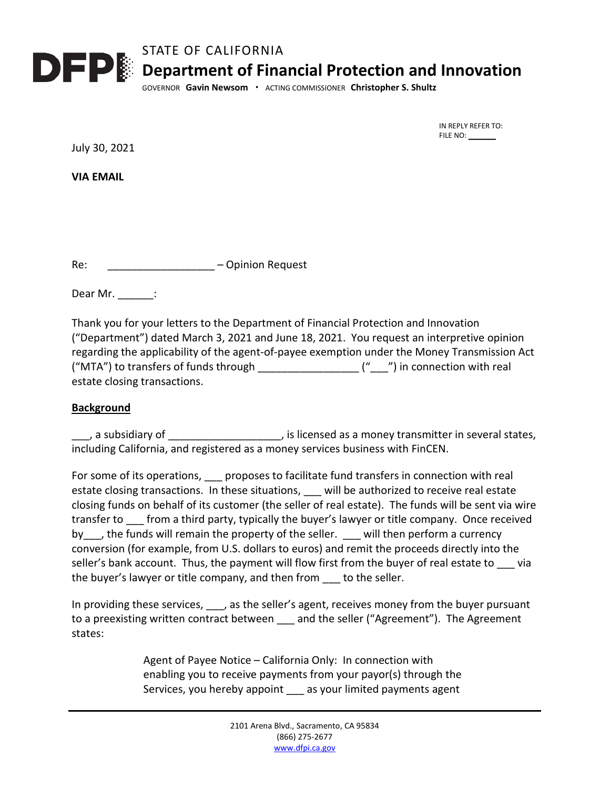

 IN REPLY REFER TO: FILE NO: \_\_\_\_\_\_\_

July 30, 2021

**VIA EMAIL**

Re: 2008 - Communication Request

Dear Mr.  $\qquad$  :

Thank you for your letters to the Department of Financial Protection and Innovation ("Department") dated March 3, 2021 and June 18, 2021. You request an interpretive opinion regarding the applicability of the agent-of-payee exemption under the Money Transmission Act ("MTA") to transfers of funds through  $\frac{1}{\frac{1}{2} \cdot \frac{1}{2} \cdot \frac{1}{2} \cdot \frac{1}{2} \cdot \frac{1}{2} \cdot \frac{1}{2}}$  (" $\frac{1}{2}$ ") in connection with real estate closing transactions.

## **Background**

 $\Box$ , a subsidiary of  $\Box$  $\Box$  $\Box$  $\Box$  $\Box$  $\Box$ , is licensed as a money transmitter in several states, including California, and registered as a money services business with FinCEN.

For some of its operations, proposes to facilitate fund transfers in connection with real estate closing transactions. In these situations, will be authorized to receive real estate closing funds on behalf of its customer (the seller of real estate). The funds will be sent via wire transfer to from a third party, typically the buyer's lawyer or title company. Once received by , the funds will remain the property of the seller. Will then perform a currency conversion (for example, from U.S. dollars to euros) and remit the proceeds directly into the seller's bank account. Thus, the payment will flow first from the buyer of real estate to via the buyer's lawyer or title company, and then from \_\_\_ to the seller.

In providing these services, \_\_\_, as the seller's agent, receives money from the buyer pursuant to a preexisting written contract between \_\_\_ and the seller ("Agreement"). The Agreement states:

> Agent of Payee Notice – California Only: In connection with enabling you to receive payments from your payor(s) through the Services, you hereby appoint \_\_\_ as your limited payments agent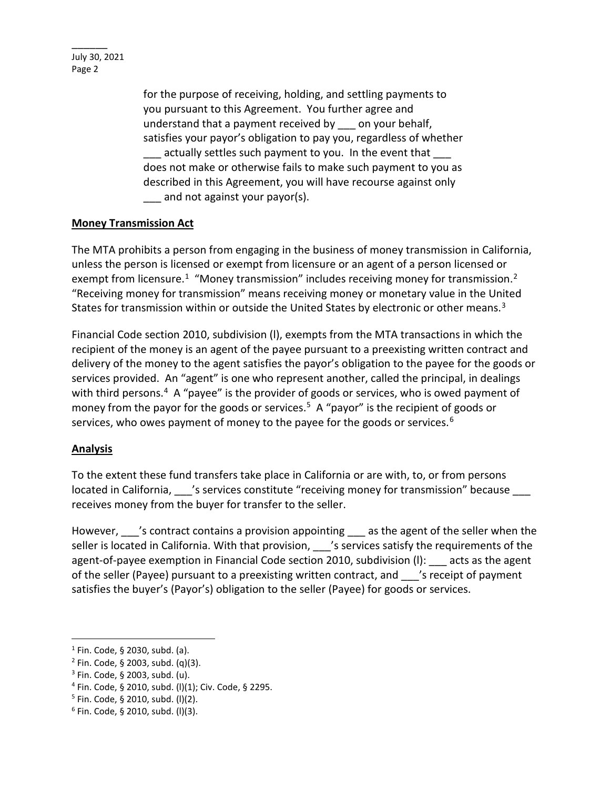July 30, 2021 Page 2

 $\overline{\phantom{a}}$ 

for the purpose of receiving, holding, and settling payments to you pursuant to this Agreement. You further agree and understand that a payment received by \_\_\_ on your behalf, satisfies your payor's obligation to pay you, regardless of whether actually settles such payment to you. In the event that does not make or otherwise fails to make such payment to you as described in this Agreement, you will have recourse against only and not against your payor(s).

## **Money Transmission Act**

The MTA prohibits a person from engaging in the business of money transmission in California, unless the person is licensed or exempt from licensure or an agent of a person licensed or exempt from licensure.<sup>1</sup> "Money transmission" includes receiving money for transmission.<sup>2</sup> "Receiving money for transmission" means receiving money or monetary value in the United States for transmission within or outside the United States by electronic or other means.<sup>3</sup>

Financial Code section 2010, subdivision (l), exempts from the MTA transactions in which the recipient of the money is an agent of the payee pursuant to a preexisting written contract and delivery of the money to the agent satisfies the payor's obligation to the payee for the goods or services provided. An "agent" is one who represent another, called the principal, in dealings with third persons.<sup>4</sup> A "payee" is the provider of goods or services, who is owed payment of money from the payor for the goods or services.<sup>[5](#page-1-4)</sup> A "payor" is the recipient of goods or services, who owes payment of money to the payee for the goods or services.<sup>[6](#page-1-5)</sup>

## **Analysis**

To the extent these fund transfers take place in California or are with, to, or from persons located in California, 's services constitute "receiving money for transmission" because receives money from the buyer for transfer to the seller.

However, 's contract contains a provision appointing as the agent of the seller when the seller is located in California. With that provision, <br>
Services satisfy the requirements of the agent-of-payee exemption in Financial Code section 2010, subdivision (I): acts as the agent of the seller (Payee) pursuant to a preexisting written contract, and strate is receipt of payment satisfies the buyer's (Payor's) obligation to the seller (Payee) for goods or services.

<span id="page-1-0"></span> $1$  Fin. Code, § 2030, subd. (a).

<span id="page-1-1"></span> $2$  Fin. Code, § 2003, subd. (q)(3).

<span id="page-1-2"></span><sup>3</sup> Fin. Code, § 2003, subd. (u).

<span id="page-1-4"></span><span id="page-1-3"></span><sup>&</sup>lt;sup>4</sup> Fin. Code, § 2010, subd. (l)(1); Civ. Code, § 2295.<br><sup>5</sup> Fin. Code, § 2010, subd. (l)(2).

<span id="page-1-5"></span> $6$  Fin. Code, § 2010, subd. (I)(3).